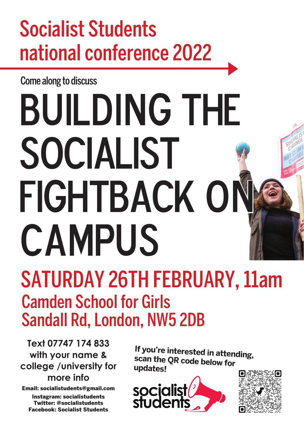## Socialist Students national conference 2022

Come along to discuss

## Building THE SOCIALIST FIGHTBACK ON **CAMPUS** SATURDAY 26TH FEBRUARY, 11am Camden School for Girls

Sandall Rd, London, NW5 2DB

**Text 07747 174 833 with your name & college /university for more info** 

Email: socialistudents@gmail.com

Instagram: socialistudents Twitter: @socialistudents Facebook: Socialist Students

**If you're interested in attending, scan the QR code below for updates!**